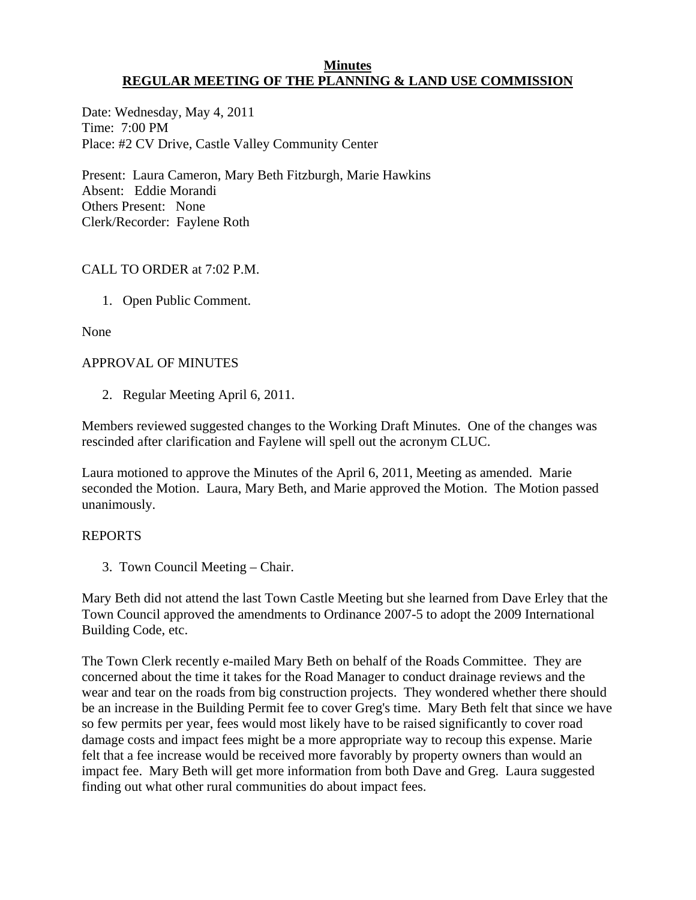#### **Minutes REGULAR MEETING OF THE PLANNING & LAND USE COMMISSION**

Date: Wednesday, May 4, 2011 Time: 7:00 PM Place: #2 CV Drive, Castle Valley Community Center

Present: Laura Cameron, Mary Beth Fitzburgh, Marie Hawkins Absent: Eddie Morandi Others Present: None Clerk/Recorder: Faylene Roth

# CALL TO ORDER at 7:02 P.M.

1. Open Public Comment.

None

## APPROVAL OF MINUTES

2. Regular Meeting April 6, 2011.

Members reviewed suggested changes to the Working Draft Minutes. One of the changes was rescinded after clarification and Faylene will spell out the acronym CLUC.

Laura motioned to approve the Minutes of the April 6, 2011, Meeting as amended. Marie seconded the Motion. Laura, Mary Beth, and Marie approved the Motion. The Motion passed unanimously.

### REPORTS

3. Town Council Meeting – Chair.

Mary Beth did not attend the last Town Castle Meeting but she learned from Dave Erley that the Town Council approved the amendments to Ordinance 2007-5 to adopt the 2009 International Building Code, etc.

The Town Clerk recently e-mailed Mary Beth on behalf of the Roads Committee. They are concerned about the time it takes for the Road Manager to conduct drainage reviews and the wear and tear on the roads from big construction projects. They wondered whether there should be an increase in the Building Permit fee to cover Greg's time. Mary Beth felt that since we have so few permits per year, fees would most likely have to be raised significantly to cover road damage costs and impact fees might be a more appropriate way to recoup this expense. Marie felt that a fee increase would be received more favorably by property owners than would an impact fee. Mary Beth will get more information from both Dave and Greg. Laura suggested finding out what other rural communities do about impact fees.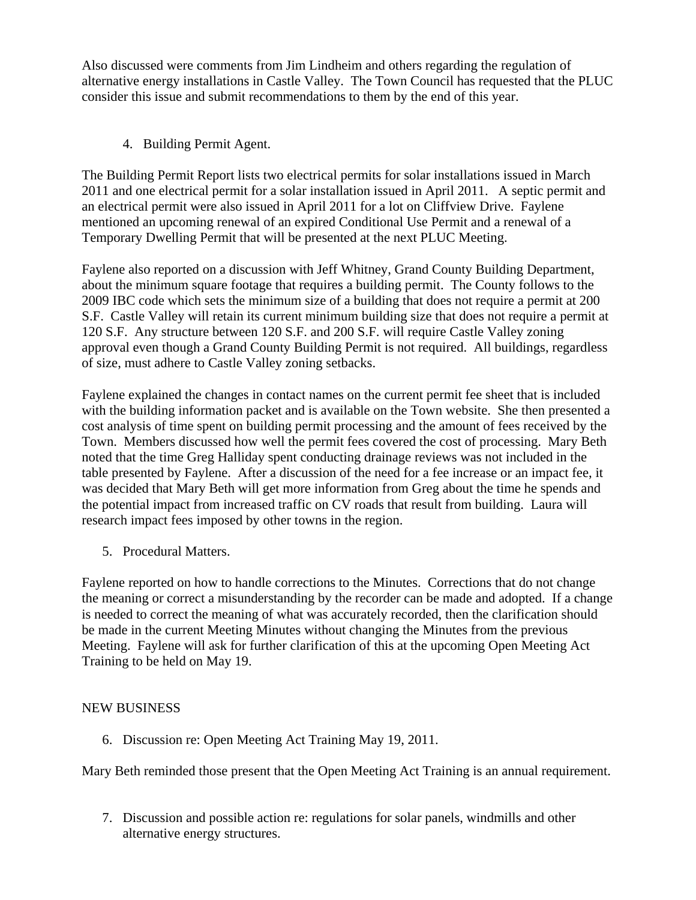Also discussed were comments from Jim Lindheim and others regarding the regulation of alternative energy installations in Castle Valley. The Town Council has requested that the PLUC consider this issue and submit recommendations to them by the end of this year.

4. Building Permit Agent.

The Building Permit Report lists two electrical permits for solar installations issued in March 2011 and one electrical permit for a solar installation issued in April 2011. A septic permit and an electrical permit were also issued in April 2011 for a lot on Cliffview Drive. Faylene mentioned an upcoming renewal of an expired Conditional Use Permit and a renewal of a Temporary Dwelling Permit that will be presented at the next PLUC Meeting.

Faylene also reported on a discussion with Jeff Whitney, Grand County Building Department, about the minimum square footage that requires a building permit. The County follows to the 2009 IBC code which sets the minimum size of a building that does not require a permit at 200 S.F. Castle Valley will retain its current minimum building size that does not require a permit at 120 S.F. Any structure between 120 S.F. and 200 S.F. will require Castle Valley zoning approval even though a Grand County Building Permit is not required. All buildings, regardless of size, must adhere to Castle Valley zoning setbacks.

Faylene explained the changes in contact names on the current permit fee sheet that is included with the building information packet and is available on the Town website. She then presented a cost analysis of time spent on building permit processing and the amount of fees received by the Town. Members discussed how well the permit fees covered the cost of processing. Mary Beth noted that the time Greg Halliday spent conducting drainage reviews was not included in the table presented by Faylene. After a discussion of the need for a fee increase or an impact fee, it was decided that Mary Beth will get more information from Greg about the time he spends and the potential impact from increased traffic on CV roads that result from building. Laura will research impact fees imposed by other towns in the region.

5. Procedural Matters.

Faylene reported on how to handle corrections to the Minutes. Corrections that do not change the meaning or correct a misunderstanding by the recorder can be made and adopted. If a change is needed to correct the meaning of what was accurately recorded, then the clarification should be made in the current Meeting Minutes without changing the Minutes from the previous Meeting. Faylene will ask for further clarification of this at the upcoming Open Meeting Act Training to be held on May 19.

# NEW BUSINESS

6. Discussion re: Open Meeting Act Training May 19, 2011.

Mary Beth reminded those present that the Open Meeting Act Training is an annual requirement.

7. Discussion and possible action re: regulations for solar panels, windmills and other alternative energy structures.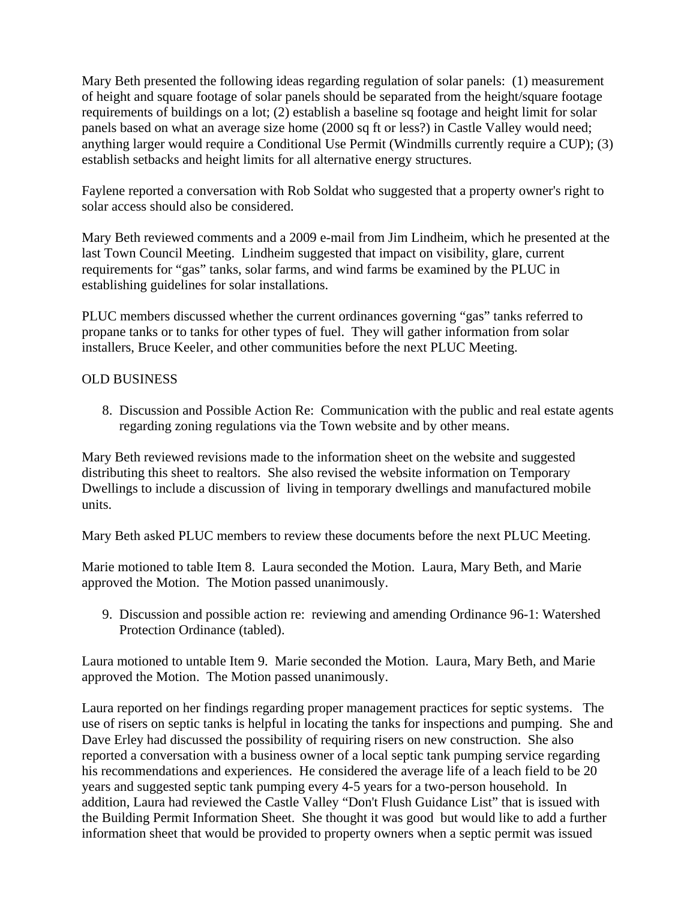Mary Beth presented the following ideas regarding regulation of solar panels: (1) measurement of height and square footage of solar panels should be separated from the height/square footage requirements of buildings on a lot; (2) establish a baseline sq footage and height limit for solar panels based on what an average size home (2000 sq ft or less?) in Castle Valley would need; anything larger would require a Conditional Use Permit (Windmills currently require a CUP); (3) establish setbacks and height limits for all alternative energy structures.

Faylene reported a conversation with Rob Soldat who suggested that a property owner's right to solar access should also be considered.

Mary Beth reviewed comments and a 2009 e-mail from Jim Lindheim, which he presented at the last Town Council Meeting. Lindheim suggested that impact on visibility, glare, current requirements for "gas" tanks, solar farms, and wind farms be examined by the PLUC in establishing guidelines for solar installations.

PLUC members discussed whether the current ordinances governing "gas" tanks referred to propane tanks or to tanks for other types of fuel. They will gather information from solar installers, Bruce Keeler, and other communities before the next PLUC Meeting.

## OLD BUSINESS

8. Discussion and Possible Action Re: Communication with the public and real estate agents regarding zoning regulations via the Town website and by other means.

Mary Beth reviewed revisions made to the information sheet on the website and suggested distributing this sheet to realtors. She also revised the website information on Temporary Dwellings to include a discussion of living in temporary dwellings and manufactured mobile units.

Mary Beth asked PLUC members to review these documents before the next PLUC Meeting.

Marie motioned to table Item 8. Laura seconded the Motion. Laura, Mary Beth, and Marie approved the Motion. The Motion passed unanimously.

9. Discussion and possible action re: reviewing and amending Ordinance 96-1: Watershed Protection Ordinance (tabled).

Laura motioned to untable Item 9. Marie seconded the Motion. Laura, Mary Beth, and Marie approved the Motion. The Motion passed unanimously.

Laura reported on her findings regarding proper management practices for septic systems. The use of risers on septic tanks is helpful in locating the tanks for inspections and pumping. She and Dave Erley had discussed the possibility of requiring risers on new construction. She also reported a conversation with a business owner of a local septic tank pumping service regarding his recommendations and experiences. He considered the average life of a leach field to be 20 years and suggested septic tank pumping every 4-5 years for a two-person household. In addition, Laura had reviewed the Castle Valley "Don't Flush Guidance List" that is issued with the Building Permit Information Sheet. She thought it was good but would like to add a further information sheet that would be provided to property owners when a septic permit was issued